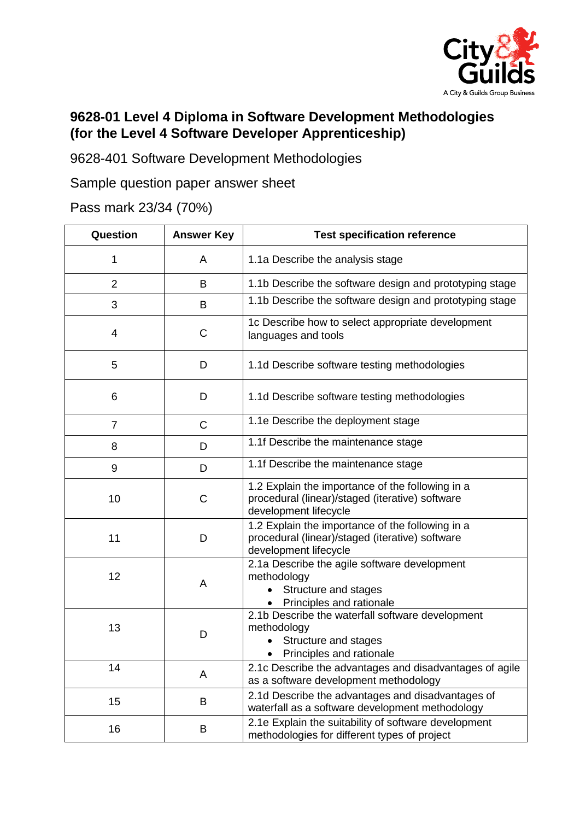

## **9628-01 Level 4 Diploma in Software Development Methodologies (for the Level 4 Software Developer Apprenticeship)**

9628-401 Software Development Methodologies

Sample question paper answer sheet

Pass mark 23/34 (70%)

| Question       | <b>Answer Key</b> | <b>Test specification reference</b>                                                                                          |
|----------------|-------------------|------------------------------------------------------------------------------------------------------------------------------|
| 1              | A                 | 1.1a Describe the analysis stage                                                                                             |
| $\overline{2}$ | B                 | 1.1b Describe the software design and prototyping stage                                                                      |
| 3              | B                 | 1.1b Describe the software design and prototyping stage                                                                      |
| $\overline{4}$ | $\mathsf C$       | 1c Describe how to select appropriate development<br>languages and tools                                                     |
| 5              | D                 | 1.1d Describe software testing methodologies                                                                                 |
| 6              | D                 | 1.1d Describe software testing methodologies                                                                                 |
| $\overline{7}$ | C                 | 1.1e Describe the deployment stage                                                                                           |
| 8              | D                 | 1.1f Describe the maintenance stage                                                                                          |
| 9              | D                 | 1.1f Describe the maintenance stage                                                                                          |
| 10             | C                 | 1.2 Explain the importance of the following in a<br>procedural (linear)/staged (iterative) software<br>development lifecycle |
| 11             | D                 | 1.2 Explain the importance of the following in a<br>procedural (linear)/staged (iterative) software<br>development lifecycle |
| 12             | A                 | 2.1a Describe the agile software development<br>methodology<br>Structure and stages<br>Principles and rationale              |
| 13             | D                 | 2.1b Describe the waterfall software development<br>methodology<br>Structure and stages<br>Principles and rationale          |
| 14             | A                 | 2.1c Describe the advantages and disadvantages of agile<br>as a software development methodology                             |
| 15             | B                 | 2.1d Describe the advantages and disadvantages of<br>waterfall as a software development methodology                         |
| 16             | B                 | 2.1e Explain the suitability of software development<br>methodologies for different types of project                         |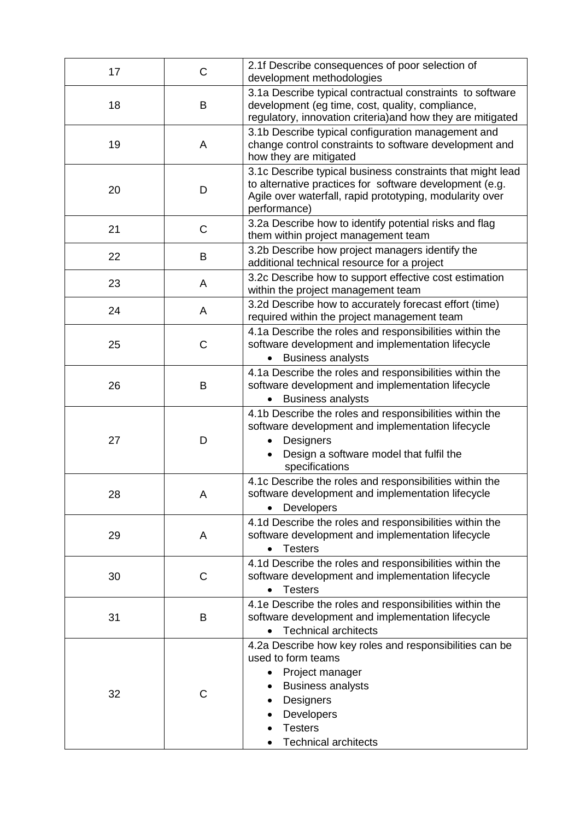| 17 | C | 2.1f Describe consequences of poor selection of<br>development methodologies                                                                                                                                     |
|----|---|------------------------------------------------------------------------------------------------------------------------------------------------------------------------------------------------------------------|
| 18 | B | 3.1a Describe typical contractual constraints to software<br>development (eg time, cost, quality, compliance,<br>regulatory, innovation criteria) and how they are mitigated                                     |
| 19 | A | 3.1b Describe typical configuration management and<br>change control constraints to software development and<br>how they are mitigated                                                                           |
| 20 | D | 3.1c Describe typical business constraints that might lead<br>to alternative practices for software development (e.g.<br>Agile over waterfall, rapid prototyping, modularity over<br>performance)                |
| 21 | C | 3.2a Describe how to identify potential risks and flag<br>them within project management team                                                                                                                    |
| 22 | B | 3.2b Describe how project managers identify the<br>additional technical resource for a project                                                                                                                   |
| 23 | A | 3.2c Describe how to support effective cost estimation<br>within the project management team                                                                                                                     |
| 24 | A | 3.2d Describe how to accurately forecast effort (time)<br>required within the project management team                                                                                                            |
| 25 | C | 4.1a Describe the roles and responsibilities within the<br>software development and implementation lifecycle<br><b>Business analysts</b><br>$\bullet$                                                            |
| 26 | B | 4.1a Describe the roles and responsibilities within the<br>software development and implementation lifecycle<br><b>Business analysts</b><br>$\bullet$                                                            |
| 27 | D | 4.1b Describe the roles and responsibilities within the<br>software development and implementation lifecycle<br>Designers<br>$\bullet$<br>Design a software model that fulfil the<br>$\bullet$<br>specifications |
| 28 | Α | 4.1c Describe the roles and responsibilities within the<br>software development and implementation lifecycle<br>Developers                                                                                       |
| 29 | A | 4.1d Describe the roles and responsibilities within the<br>software development and implementation lifecycle<br><b>Testers</b>                                                                                   |
| 30 | C | 4.1d Describe the roles and responsibilities within the<br>software development and implementation lifecycle<br><b>Testers</b>                                                                                   |
| 31 | B | 4.1e Describe the roles and responsibilities within the<br>software development and implementation lifecycle<br><b>Technical architects</b>                                                                      |
| 32 | С | 4.2a Describe how key roles and responsibilities can be<br>used to form teams<br>Project manager<br><b>Business analysts</b><br>Designers<br>Developers<br><b>Testers</b><br><b>Technical architects</b>         |